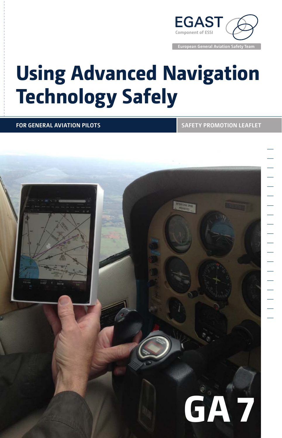

# **Using Advanced Navigation Technology Safely**

**FOR GENERAL AVIATION PILOTS SAFETY PROMOTION LEAFLET**

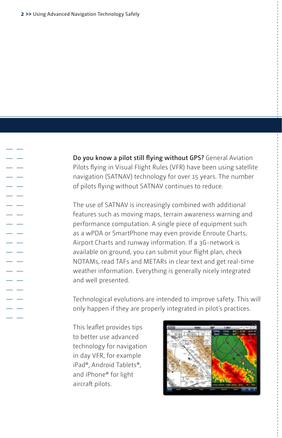. L

. L

**Do you know a pilot still flying without GPS?** General Aviation Pilots flying in Visual Flight Rules (VFR) have been using satellite navigation (SATNAV) technology for over 15 years. The number of pilots flying without SATNAV continues to reduce.

The use of SATNAV is increasingly combined with additional features such as moving maps, terrain awareness warning and performance computation. A single piece of equipment such as a wPDA or SmartPhone may even provide Enroute Charts, Airport Charts and runway information. If a 3G‑network is available on ground, you can submit your flight plan, check NOTAMs, read TAFs and METARs in clear text and get real-time weather information. Everything is generally nicely integrated and well presented.

Technological evolutions are intended to improve safety. This will only happen if they are properly integrated in pilot's practices.

This leaflet provides tips to better use advanced technology for navigation in day VFR, for example iPad®, Android Tablets®, and iPhone® for light aircraft pilots.

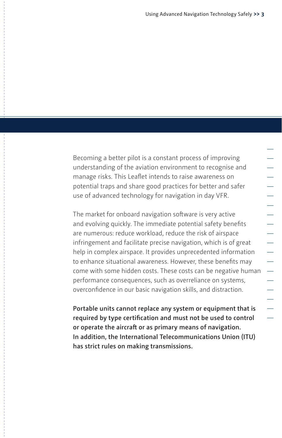Becoming a better pilot is a constant process of improving understanding of the aviation environment to recognise and manage risks. This Leaflet intends to raise awareness on potential traps and share good practices for better and safer use of advanced technology for navigation in day VFR.

The market for onboard navigation software is very active and evolving quickly. The immediate potential safety benefits are numerous: reduce workload, reduce the risk of airspace infringement and facilitate precise navigation, which is of great help in complex airspace. It provides unprecedented information to enhance situational awareness. However, these benefits may come with some hidden costs. These costs can be negative human performance consequences, such as overreliance on systems, overconfidence in our basic navigation skills, and distraction.

**Portable units cannot replace any system or equipment that is required by type certification and must not be used to control or operate the aircraft or as primary means of navigation. In addition, the International Telecommunications Union (ITU) has strict rules on making transmissions.**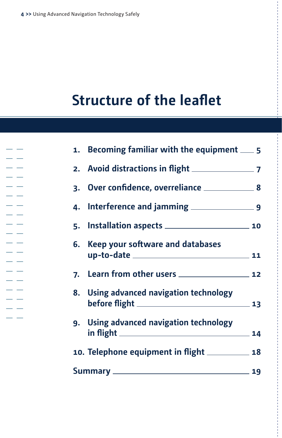$\sim$ 

 $\sim$  $\overline{\phantom{0}}$  $\overline{\phantom{0}}$  $\sim$  $\sim$  $\overline{a}$  $\overline{\phantom{0}}$  $\overline{\phantom{0}}$  $\sim$ a sa sa  $\overline{\phantom{a}}$ لساد  $\overline{\phantom{0}}$ 

# **Structure of the leaflet**

|  | 1. Becoming familiar with the equipment ___ 5           |  |
|--|---------------------------------------------------------|--|
|  |                                                         |  |
|  | 3. Over confidence, overreliance ____________________ 8 |  |
|  | 4. Interference and jamming _________________________9  |  |
|  |                                                         |  |
|  | 6. Keep your software and databases                     |  |
|  |                                                         |  |
|  | 8. Using advanced navigation technology                 |  |
|  | 9. Using advanced navigation technology                 |  |
|  | 10. Telephone equipment in flight __________ 18         |  |
|  |                                                         |  |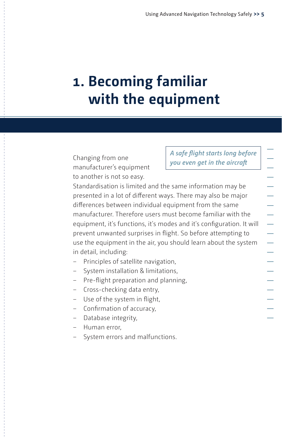## <span id="page-4-0"></span>**1. Becoming familiar with the equipment**

Changing from one manufacturer's equipment to another is not so easy.

*A safe flight starts long before you even get in the aircraft*

> $\overline{\phantom{0}}$  $\overline{\phantom{a}}$  $\overline{\phantom{a}}$

Standardisation is limited and the same information may be presented in a lot of different ways. There may also be major differences between individual equipment from the same manufacturer. Therefore users must become familiar with the equipment, it's functions, it's modes and it's configuration. It will prevent unwanted surprises in flight. So before attempting to use the equipment in the air, you should learn about the system in detail, including:

- Principles of satellite navigation,
- − System installation & limitations,
- − Pre‑flight preparation and planning,
- − Cross‑checking data entry,
- − Use of the system in flight,
- − Confirmation of accuracy,
- − Database integrity,
- − Human error,
- System errors and malfunctions.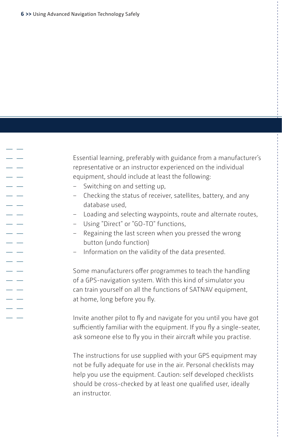. L  $\overline{a}$ . .  $\overline{\phantom{0}}$ . . . L  $\overline{\phantom{0}}$  $\overline{\phantom{0}}$ . L . .

a an

Essential learning, preferably with guidance from a manufacturer's representative or an instructor experienced on the individual equipment, should include at least the following:

- Switching on and setting up.
- − Checking the status of receiver, satellites, battery, and any database used,
- − Loading and selecting waypoints, route and alternate routes,
- Using "Direct" or "GO-TO" functions,
- Regaining the last screen when you pressed the wrong button (undo function)
- − Information on the validity of the data presented.

Some manufacturers offer programmes to teach the handling of a GPS‑navigation system. With this kind of simulator you can train yourself on all the functions of SATNAV equipment, at home, long before you fly.

Invite another pilot to fly and navigate for you until you have got sufficiently familiar with the equipment. If you fly a single-seater, ask someone else to fly you in their aircraft while you practise.

The instructions for use supplied with your GPS equipment may not be fully adequate for use in the air. Personal checklists may help you use the equipment. Caution: self developed checklists should be cross-checked by at least one qualified user, ideally an instructor.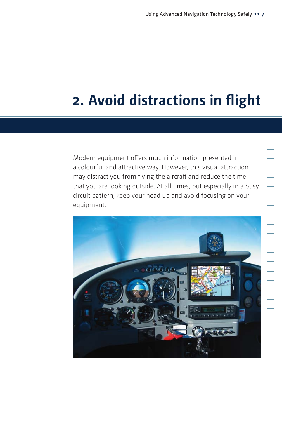# <span id="page-6-0"></span>**2. Avoid distractions in flight**

Modern equipment offers much information presented in a colourful and attractive way. However, this visual attraction may distract you from flying the aircraft and reduce the time that you are looking outside. At all times, but especially in a busy circuit pattern, keep your head up and avoid focusing on your equipment.

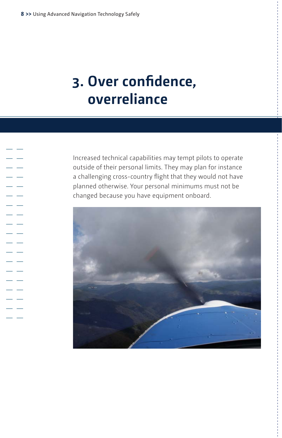# <span id="page-7-0"></span>**3. Over confidence, overreliance**

Increased technical capabilities may tempt pilots to operate outside of their personal limits. They may plan for instance a challenging cross-country flight that they would not have planned otherwise. Your personal minimums must not be changed because you have equipment onboard.

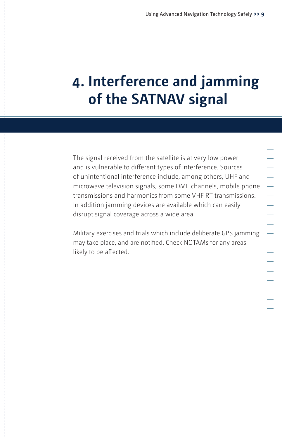### <span id="page-8-0"></span>**4. Interference and jamming of the SATNAV signal**

The signal received from the satellite is at very low power and is vulnerable to different types of interference. Sources of unintentional interference include, among others, UHF and microwave television signals, some DME channels, mobile phone transmissions and harmonics from some VHF RT transmissions. In addition jamming devices are available which can easily disrupt signal coverage across a wide area.

Military exercises and trials which include deliberate GPS jamming may take place, and are notified. Check NOTAMs for any areas likely to be affected.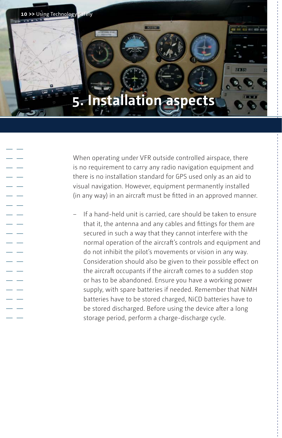#### **5. Installation aspects**

**MARING** 

When operating under VFR outside controlled airspace, there is no requirement to carry any radio navigation equipment and there is no installation standard for GPS used only as an aid to visual navigation. However, equipment permanently installed (in any way) in an aircraft must be fitted in an approved manner.

**FERE** 

− If a hand‑held unit is carried, care should be taken to ensure that it, the antenna and any cables and fittings for them are secured in such a way that they cannot interfere with the normal operation of the aircraft's controls and equipment and do not inhibit the pilot's movements or vision in any way. Consideration should also be given to their possible effect on the aircraft occupants if the aircraft comes to a sudden stop or has to be abandoned. Ensure you have a working power supply, with spare batteries if needed. Remember that NiMH batteries have to be stored charged, NiCD batteries have to be stored discharged. Before using the device after a long storage period, perform a charge‑discharge cycle.

<span id="page-9-0"></span>**10 >>** Using Technology Safely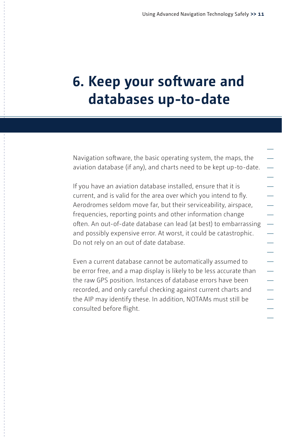## <span id="page-10-0"></span>**6. Keep your software and databases up‑to‑date**

Navigation software, the basic operating system, the maps, the aviation database (if any), and charts need to be kept up-to-date.

If you have an aviation database installed, ensure that it is current, and is valid for the area over which you intend to fly. Aerodromes seldom move far, but their serviceability, airspace, frequencies, reporting points and other information change often. An out‑of‑date database can lead (at best) to embarrassing and possibly expensive error. At worst, it could be catastrophic. Do not rely on an out of date database.

 $\overline{\phantom{0}}$  $\overline{\phantom{0}}$  $\overline{\phantom{0}}$ 

 $\overline{\phantom{0}}$  $\overline{\phantom{0}}$ 

Even a current database cannot be automatically assumed to be error free, and a map display is likely to be less accurate than the raw GPS position. Instances of database errors have been recorded, and only careful checking against current charts and the AIP may identify these. In addition, NOTAMs must still be consulted before flight.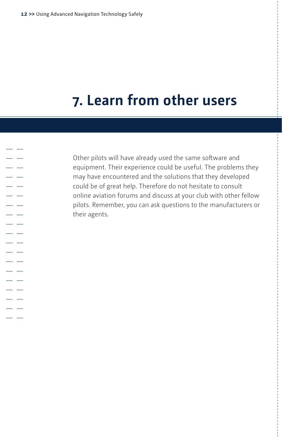# <span id="page-11-0"></span>**7. Learn from other users**

Other pilots will have already used the same software and equipment. Their experience could be useful. The problems they may have encountered and the solutions that they developed could be of great help. Therefore do not hesitate to consult online aviation forums and discuss at your club with other fellow pilots. Remember, you can ask questions to the manufacturers or their agents.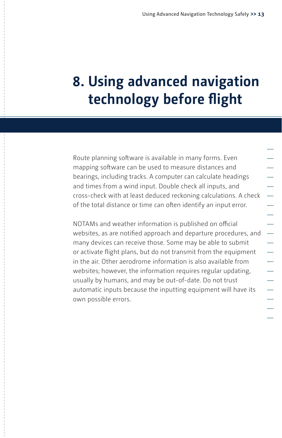# <span id="page-12-0"></span>**8. Using advanced navigation technology before flight**

Route planning software is available in many forms. Even mapping software can be used to measure distances and bearings, including tracks. A computer can calculate headings and times from a wind input. Double check all inputs, and cross‑check with at least deduced reckoning calculations. A check of the total distance or time can often identify an input error.

NOTAMs and weather information is published on official websites, as are notified approach and departure procedures, and many devices can receive those. Some may be able to submit or activate flight plans, but do not transmit from the equipment in the air. Other aerodrome information is also available from websites; however, the information requires regular updating, usually by humans, and may be out‑of‑date. Do not trust automatic inputs because the inputting equipment will have its own possible errors.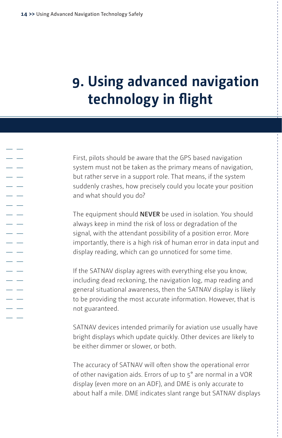J.  $\overline{a}$ . .  $\overline{\phantom{0}}$  $\overline{\phantom{0}}$ . .  $\overline{\phantom{0}}$ .<br>.  $\overline{a}$  $\overline{\phantom{a}}$ . L  $\overline{\phantom{0}}$ a an  $\overline{\phantom{0}}$  $\overline{\phantom{0}}$ a sa s

# <span id="page-13-0"></span>**9. Using advanced navigation technology in flight**

First, pilots should be aware that the GPS based navigation system must not be taken as the primary means of navigation, but rather serve in a support role. That means, if the system suddenly crashes, how precisely could you locate your position and what should you do?

The equipment should **NEVER** be used in isolation. You should always keep in mind the risk of loss or degradation of the signal, with the attendant possibility of a position error. More importantly, there is a high risk of human error in data input and display reading, which can go unnoticed for some time.

If the SATNAV display agrees with everything else you know, including dead reckoning, the navigation log, map reading and general situational awareness, then the SATNAV display is likely to be providing the most accurate information. However, that is not guaranteed.

SATNAV devices intended primarily for aviation use usually have bright displays which update quickly. Other devices are likely to be either dimmer or slower, or both.

The accuracy of SATNAV will often show the operational error of other navigation aids. Errors of up to 5° are normal in a VOR display (even more on an ADF), and DME is only accurate to about half a mile. DME indicates slant range but SATNAV displays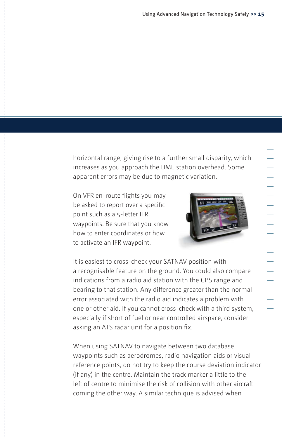horizontal range, giving rise to a further small disparity, which increases as you approach the DME station overhead. Some apparent errors may be due to magnetic variation.

On VFR en‑route flights you may be asked to report over a specific point such as a 5-letter IFR waypoints. Be sure that you know how to enter coordinates or how to activate an IFR waypoint.



It is easiest to cross‑check your SATNAV position with a recognisable feature on the ground. You could also compare indications from a radio aid station with the GPS range and bearing to that station. Any difference greater than the normal error associated with the radio aid indicates a problem with one or other aid. If you cannot cross‑check with a third system, especially if short of fuel or near controlled airspace, consider asking an ATS radar unit for a position fix.

When using SATNAV to navigate between two database waypoints such as aerodromes, radio navigation aids or visual reference points, do not try to keep the course deviation indicator (if any) in the centre. Maintain the track marker a little to the left of centre to minimise the risk of collision with other aircraft coming the other way. A similar technique is advised when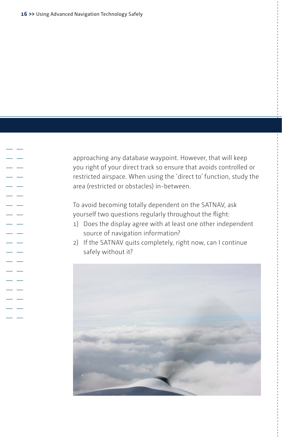approaching any database waypoint. However, that will keep you right of your direct track so ensure that avoids controlled or restricted airspace. When using the 'direct to' function, study the area (restricted or obstacles) in‑between.

To avoid becoming totally dependent on the SATNAV, ask yourself two questions regularly throughout the flight:

- 1) Does the display agree with at least one other independent source of navigation information?
- 2) If the SATNAV quits completely, right now, can I continue safely without it?

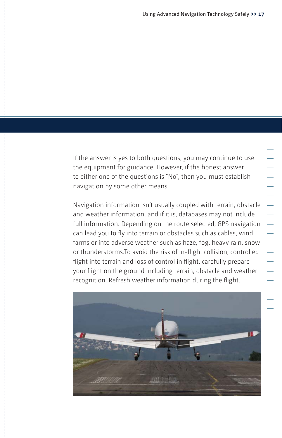If the answer is yes to both questions, you may continue to use the equipment for guidance. However, if the honest answer to either one of the questions is "No", then you must establish navigation by some other means.

Navigation information isn't usually coupled with terrain, obstacle and weather information, and if it is, databases may not include full information. Depending on the route selected, GPS navigation can lead you to fly into terrain or obstacles such as cables, wind farms or into adverse weather such as haze, fog, heavy rain, snow or thunderstorms.To avoid the risk of in‑flight collision, controlled flight into terrain and loss of control in flight, carefully prepare your flight on the ground including terrain, obstacle and weather recognition. Refresh weather information during the flight.

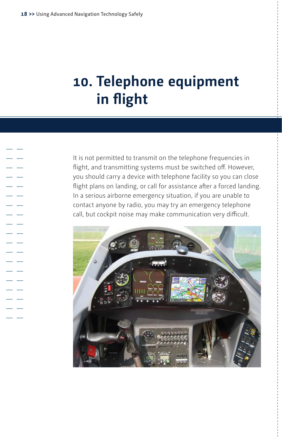# <span id="page-17-0"></span>**10. Telephone equipment in flight**

It is not permitted to transmit on the telephone frequencies in flight, and transmitting systems must be switched off. However, you should carry a device with telephone facility so you can close flight plans on landing, or call for assistance after a forced landing. In a serious airborne emergency situation, if you are unable to contact anyone by radio, you may try an emergency telephone call, but cockpit noise may make communication very difficult.

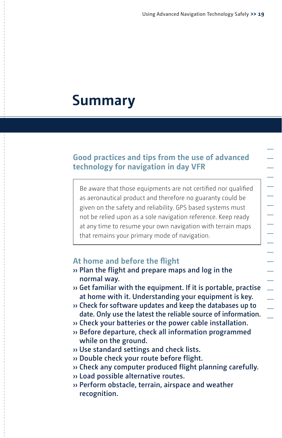#### <span id="page-18-0"></span>**Summary**

#### **Good practices and tips from the use of advanced technology for navigation in day VFR**

Be aware that those equipments are not certified nor qualified as aeronautical product and therefore no guaranty could be given on the safety and reliability. GPS based systems must not be relied upon as a sole navigation reference. Keep ready at any time to resume your own navigation with terrain maps that remains your primary mode of navigation.

------------

 $\equiv$ 

#### **At home and before the flight**

- **›› Plan the flight and prepare maps and log in the normal way.**
- **›› Get familiar with the equipment. If it is portable, practise at home with it. Understanding your equipment is key.**
- **›› Check for software updates and keep the databases up to date. Only use the latest the reliable source of information.**
- **›› Check your batteries or the power cable installation.**
- **›› Before departure, check all information programmed while on the ground.**
- **›› Use standard settings and check lists.**
- **›› Double check your route before flight.**
- **›› Check any computer produced flight planning carefully.**
- **›› Load possible alternative routes.**
- **›› Perform obstacle, terrain, airspace and weather recognition.**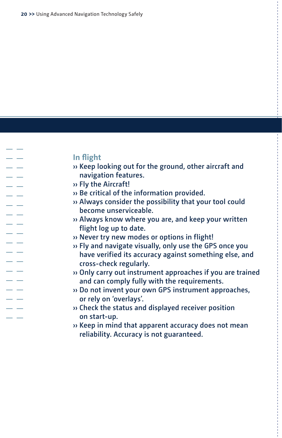#### **In flight**

. . . L . L  $\overline{\phantom{0}}$  $\overline{\phantom{0}}$  $\overline{\phantom{0}}$ - a an a <sub>an</sub> 

- **›› Keep looking out for the ground, other aircraft and navigation features.**
- **›› Fly the Aircraft!**
- **›› Be critical of the information provided.**
- **›› Always consider the possibility that your tool could become unserviceable.**
- **›› Always know where you are, and keep your written flight log up to date.**
- **›› Never try new modes or options in flight!**
- **›› Fly and navigate visually, only use the GPS once you have verified its accuracy against something else, and cross‑check regularly.**
- **›› Only carry out instrument approaches if you are trained and can comply fully with the requirements.**
- **›› Do not invent your own GPS instrument approaches, or rely on 'overlays'.**
- **›› Check the status and displayed receiver position on start‑up.**
- **›› Keep in mind that apparent accuracy does not mean reliability. Accuracy is not guaranteed.**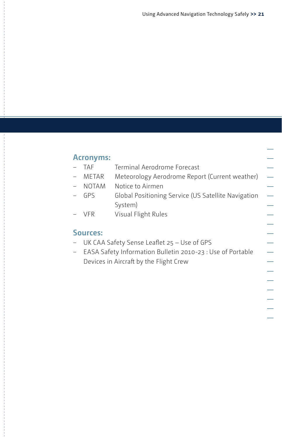$\overline{\phantom{0}}$  $\overline{\phantom{0}}$  $\overline{\phantom{0}}$  $\equiv$  $\overline{\phantom{0}}$  $\equiv$  $\overline{\phantom{0}}$  $\equiv$  $\equiv$  $\equiv$  $\equiv$  $\Box$ 

 $\frac{1}{1}$ 

 $\overline{\phantom{0}}$ 

#### **Acronyms:**

- − TAF Terminal Aerodrome Forecast
- − METAR Meteorology Aerodrome Report (Current weather)
- − NOTAM Notice to Airmen
- − GPS Global Positioning Service (US Satellite Navigation System)
- − VFR Visual Flight Rules

#### **Sources:**

- − UK CAA Safety Sense Leaflet 25 Use of GPS
- − EASA Safety Information Bulletin 2010-23 : Use of Portable Devices in Aircraft by the Flight Crew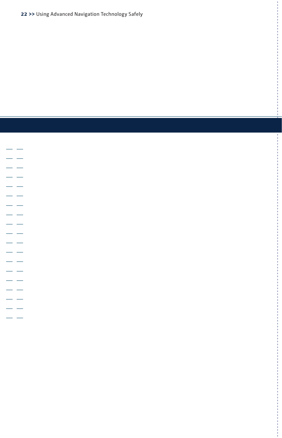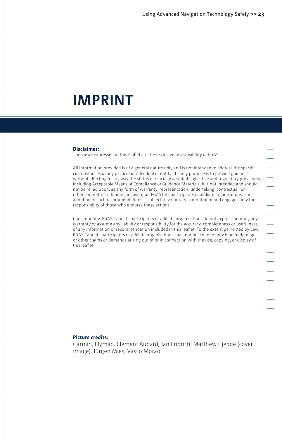#### **IMPRINT**

#### **Disclaimer:**

The views expressed in this leaflet are the exclusive responsibility of EGAST.

All information provided is of a general nature only and is not intended to address the specific circumstances of any particular individual or entity. Its only purpose is to provide guidance without affecting in any way the status of officially adopted legislative and regulatory provisions, including Acceptable Means of Compliance or Guidance Materials. It is not intended and should not be relied upon, as any form of warranty, representation, undertaking, contractual, or other commitment binding in law upon EGAST its participants or affiliate organisations. The adoption of such recommendations is subject to voluntary commitment and engages only the responsibility of those who endorse these actions.

Consequently, EGAST and its participants or affiliate organisations do not express or imply any warranty or assume any liability or responsibility for the accuracy, completeness or usefulness of any information or recommendation included in this leaflet. To the extent permitted by Law, EGAST and its participants or affiliate organisations shall not be liable for any kind of damages or other claims or demands arising out of or in connection with the use, copying, or display of this leaflet.

#### **Picture credits:**

Garmin, Flymap, Clément Audard, Jan Fridrich, Matthew Gjedde (cover image), Jürgen Mies, Vasco Morao